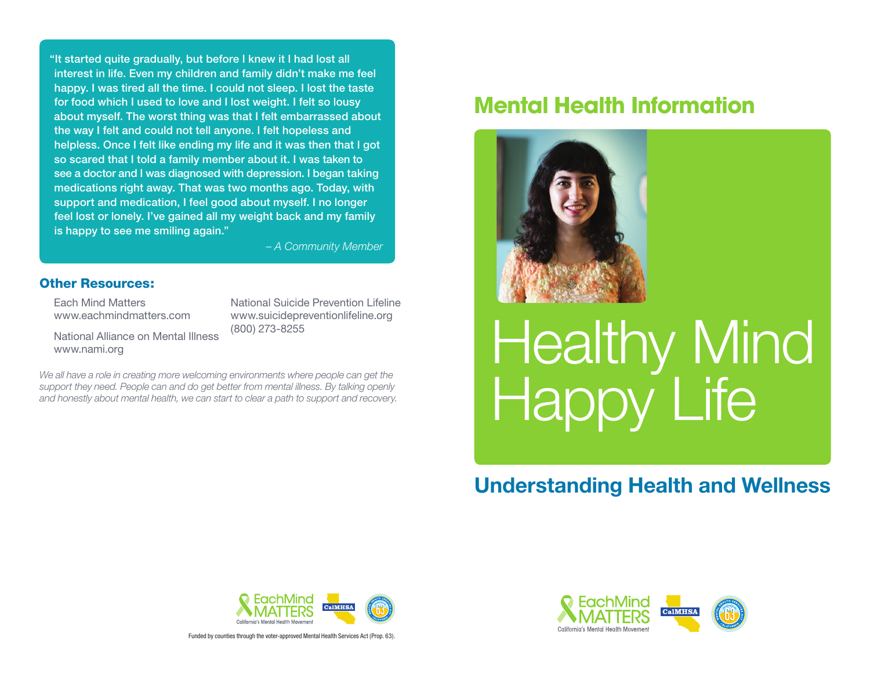"It started quite gradually, but before I knew it I had lost all interest in life. Even my children and family didn't make me feel happy. I was tired all the time. I could not sleep. I lost the taste for food which I used to love and I lost weight. I felt so lousy about myself. The worst thing was that I felt embarrassed about the way I felt and could not tell anyone. I felt hopeless and helpless. Once I felt like ending my life and it was then that I got so scared that I told a family member about it. I was taken to see a doctor and I was diagnosed with depression. I began taking medications right away. That was two months ago. Today, with support and medication, I feel good about myself. I no longer feel lost or lonely. I've gained all my weight back and my family is happy to see me smiling again."

 *– A Community Member*

## Other Resources:

Each Mind Matters www.eachmindmatters.com National Suicide Prevention Lifeline www.suicidepreventionlifeline.org (800) 273-8255

National Alliance on Mental Illness www.nami.org

We all have a role in creating more welcoming environments where people can get the *support they need. People can and do get better from mental illness. By talking openly and honestly about mental health, we can start to clear a path to support and recovery.*

## **Mental Health Information**



# Healthy Mind Happy Life

## **Understanding Health and Wellness**